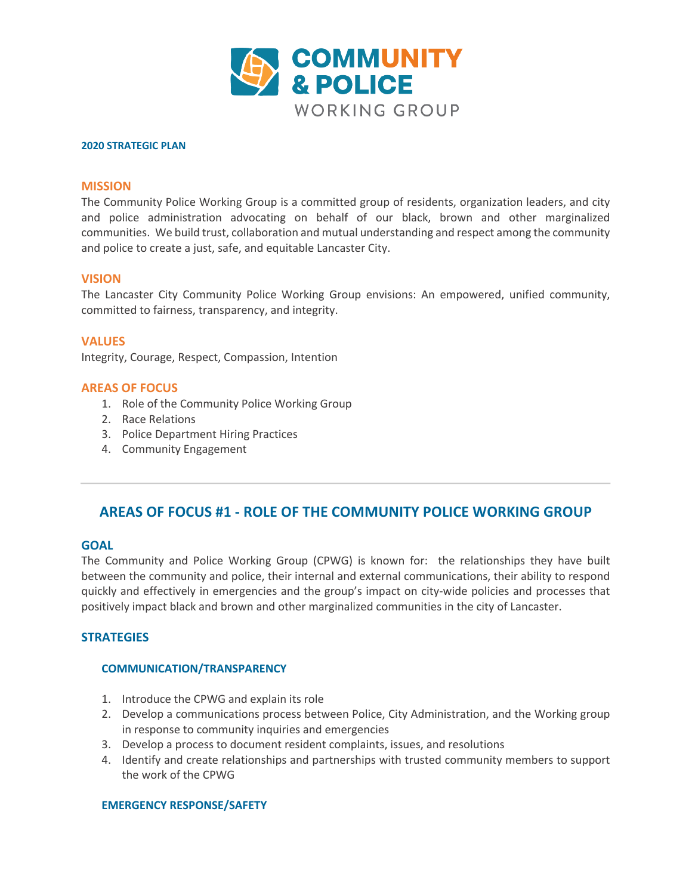

#### **2020 STRATEGIC PLAN**

### **MISSION**

The Community Police Working Group is a committed group of residents, organization leaders, and city and police administration advocating on behalf of our black, brown and other marginalized communities. We build trust, collaboration and mutual understanding and respect among the community and police to create a just, safe, and equitable Lancaster City.

### **VISION**

The Lancaster City Community Police Working Group envisions: An empowered, unified community, committed to fairness, transparency, and integrity.

**VALUES** Integrity, Courage, Respect, Compassion, Intention

### **AREAS OF FOCUS**

- 1. Role of the Community Police Working Group
- 2. Race Relations
- 3. Police Department Hiring Practices
- 4. Community Engagement

# **AREAS OF FOCUS #1 - ROLE OF THE COMMUNITY POLICE WORKING GROUP**

### **GOAL**

The Community and Police Working Group (CPWG) is known for: the relationships they have built between the community and police, their internal and external communications, their ability to respond quickly and effectively in emergencies and the group's impact on city-wide policies and processes that positively impact black and brown and other marginalized communities in the city of Lancaster.

# **STRATEGIES**

### **COMMUNICATION/TRANSPARENCY**

- 1. Introduce the CPWG and explain its role
- 2. Develop a communications process between Police, City Administration, and the Working group in response to community inquiries and emergencies
- 3. Develop a process to document resident complaints, issues, and resolutions
- 4. Identify and create relationships and partnerships with trusted community members to support the work of the CPWG

### **EMERGENCY RESPONSE/SAFETY**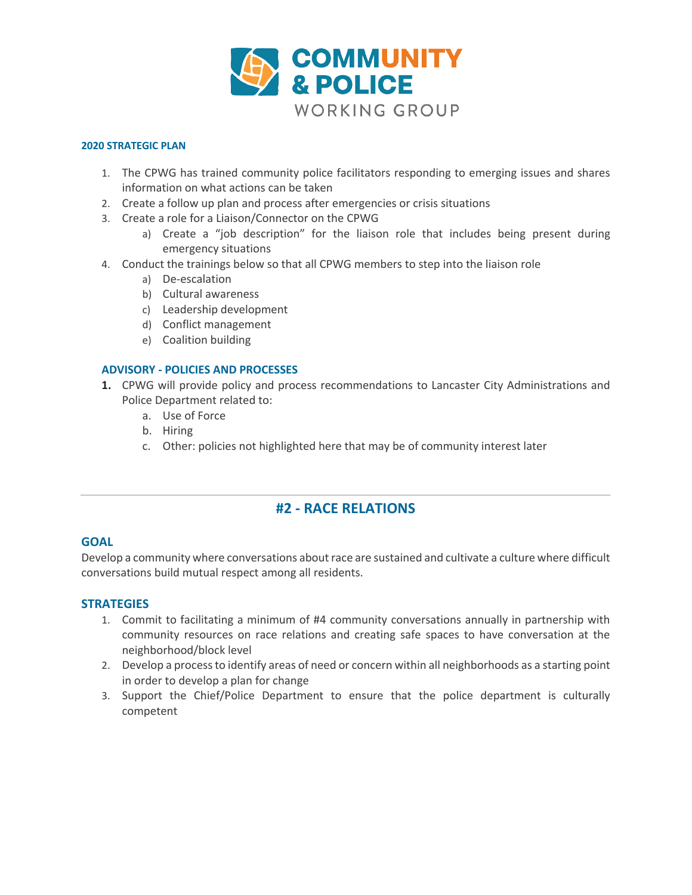

### **2020 STRATEGIC PLAN**

- 1. The CPWG has trained community police facilitators responding to emerging issues and shares information on what actions can be taken
- 2. Create a follow up plan and process after emergencies or crisis situations
- 3. Create a role for a Liaison/Connector on the CPWG
	- a) Create a "job description" for the liaison role that includes being present during emergency situations
- 4. Conduct the trainings below so that all CPWG members to step into the liaison role
	- a) De-escalation
	- b) Cultural awareness
	- c) Leadership development
	- d) Conflict management
	- e) Coalition building

# **ADVISORY - POLICIES AND PROCESSES**

- **1.** CPWG will provide policy and process recommendations to Lancaster City Administrations and Police Department related to:
	- a. Use of Force
	- b. Hiring
	- c. Other: policies not highlighted here that may be of community interest later

# **#2 - RACE RELATIONS**

# **GOAL**

Develop a community where conversations about race are sustained and cultivate a culture where difficult conversations build mutual respect among all residents.

# **STRATEGIES**

- 1. Commit to facilitating a minimum of #4 community conversations annually in partnership with community resources on race relations and creating safe spaces to have conversation at the neighborhood/block level
- 2. Develop a process to identify areas of need or concern within all neighborhoods as a starting point in order to develop a plan for change
- 3. Support the Chief/Police Department to ensure that the police department is culturally competent